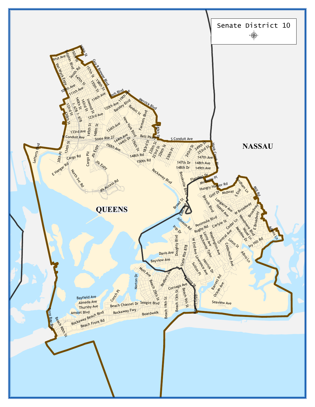